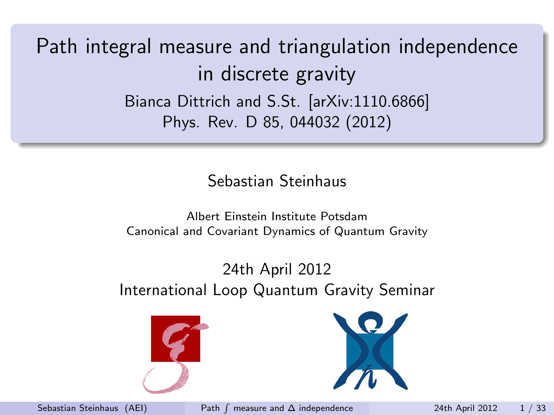Path integral measure and triangulation independence in discrete gravity Bianca Dittrich and S.St. [arXiv:1110.6866] Phys. Rev. D 85, 044032 (2012)

#### Sebastian Steinhaus

#### Albert Einstein Institute Potsdam Canonical and Covariant Dynamics of Quantum Gravity

#### 24th April 2012 International Loop Quantum Gravity Seminar



<span id="page-0-0"></span>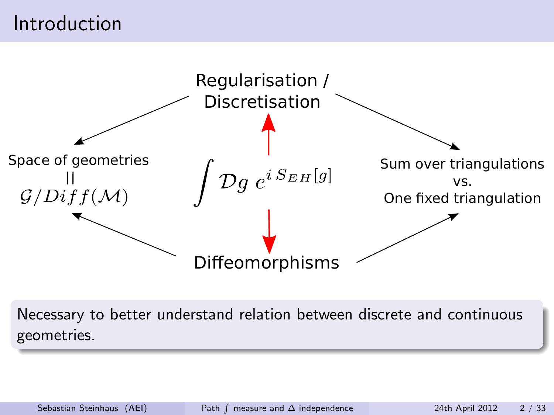# Introduction



Necessary to better understand relation between discrete and continuous geometries.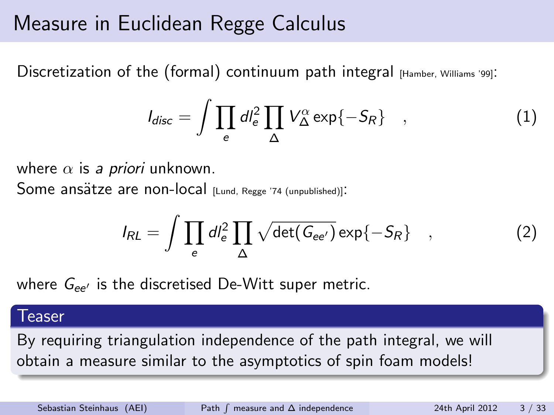# Measure in Euclidean Regge Calculus

Discretization of the (formal) continuum path integral [Hamber, Williams '99]:

$$
I_{disc} = \int \prod_{e} dl_e^2 \prod_{\Delta} V_{\Delta}^{\alpha} \exp\{-S_R\} \quad , \tag{1}
$$

where  $\alpha$  is a priori unknown.

Some ansätze are non-local [Lund, Regge '74 (unpublished)]:

$$
I_{RL} = \int \prod_{e} dl_e^2 \prod_{\Delta} \sqrt{\det(G_{ee'})} \exp\{-S_R\} \quad , \tag{2}
$$

where  $G_{\rho\rho\sigma}$  is the discretised De-Witt super metric.

#### Teaser

By requiring triangulation independence of the path integral, we will obtain a measure similar to the asymptotics of spin foam models!

Sebastian Steinhaus (AEI)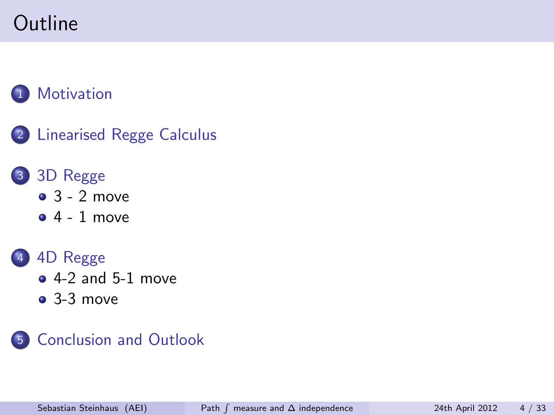# Outline

### **[Motivation](#page-4-0)**

2 [Linearised Regge Calculus](#page-8-0)

#### 3 [3D Regge](#page-13-0)

- $\bullet$  [3 2 move](#page-14-0)
- $\bullet$  [4 1 move](#page-17-0)



- 
- $\bullet$  [4-2 and 5-1 move](#page-20-0)
- [3-3 move](#page-26-0)

### 5 [Conclusion and Outlook](#page-29-0)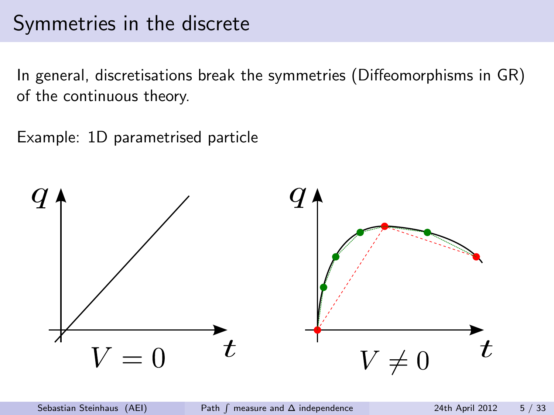# Symmetries in the discrete

In general, discretisations break the symmetries (Diffeomorphisms in GR) of the continuous theory.

Example: 1D parametrised particle

<span id="page-4-0"></span>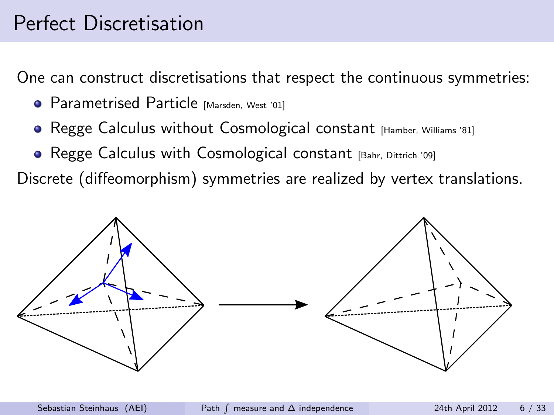# Perfect Discretisation

One can construct discretisations that respect the continuous symmetries:

- **Parametrised Particle [Marsden, West '01]**
- **•** Regge Calculus without Cosmological constant [Hamber, Williams '81]
- **•** Regge Calculus with Cosmological constant [Bahr, Dittrich '09]

Discrete (diffeomorphism) symmetries are realized by vertex translations.

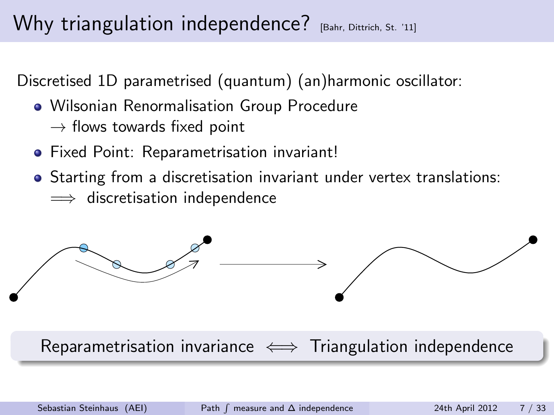# Why triangulation independence? [Bahr, Dittrich, St. '11]

Discretised 1D parametrised (quantum) (an)harmonic oscillator:

- Wilsonian Renormalisation Group Procedure
	- $\rightarrow$  flows towards fixed point
- **•** Fixed Point: Reparametrisation invariant!
- Starting from a discretisation invariant under vertex translations:  $\implies$  discretisation independence



Reparametrisation invariance  $\iff$  Triangulation independence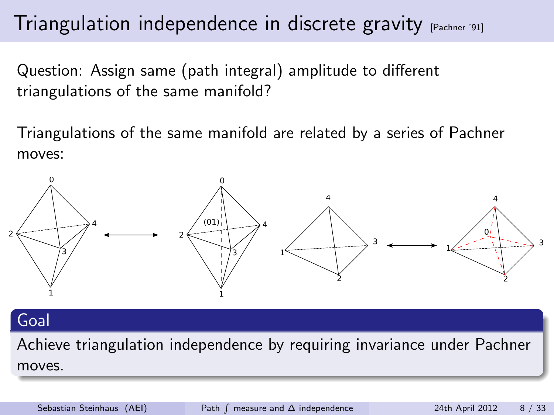# Triangulation independence in discrete gravity [Pachner '91]

Question: Assign same (path integral) amplitude to different triangulations of the same manifold?

Triangulations of the same manifold are related by a series of Pachner moves:



#### Goal

Achieve triangulation independence by requiring invariance under Pachner moves.

Sebastian Steinhaus (AEI) Path P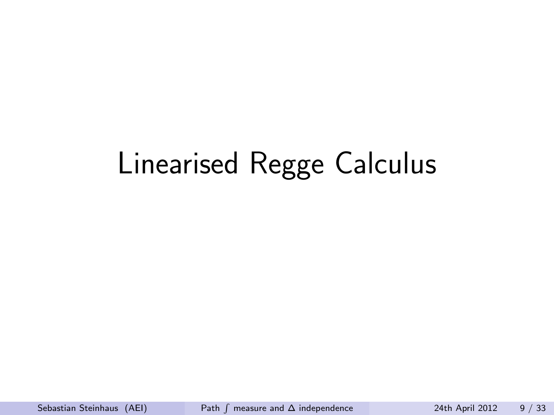# <span id="page-8-0"></span>Linearised Regge Calculus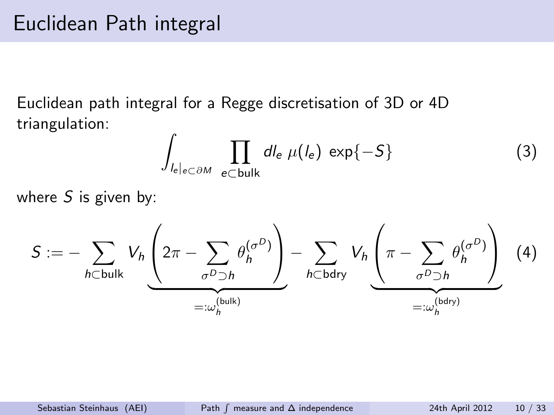# Euclidean Path integral

Euclidean path integral for a Regge discretisation of 3D or 4D triangulation:  $\mathbf{r}$ 

$$
\int_{l_e|_{e\subset\partial M}} \prod_{e\subset \text{bulk}} dl_e \ \mu(l_e) \ \exp\{-S\} \tag{3}
$$

where  $S$  is given by:

$$
S := -\sum_{h \subset \text{bulk}} V_h \underbrace{\left(2\pi - \sum_{\sigma^D \supset h} \theta_h^{(\sigma^D)}\right)}_{=: \omega_h^{(\text{bulk})}} - \sum_{h \subset \text{bdry}} V_h \underbrace{\left(\pi - \sum_{\sigma^D \supset h} \theta_h^{(\sigma^D)}\right)}_{=: \omega_h^{(\text{bdry})}} \tag{4}
$$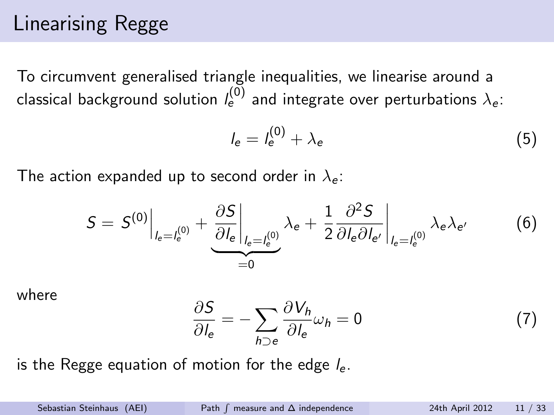# Linearising Regge

To circumvent generalised triangle inequalities, we linearise around a classical background solution  $l_{\rm e}^{(0)}$  and integrate over perturbations  $\lambda_{\rm e}$ :

$$
l_e = l_e^{(0)} + \lambda_e \tag{5}
$$

The action expanded up to second order in  $\lambda_e$ :

$$
S = S^{(0)}\Big|_{l_e=l_e^{(0)}} + \underbrace{\frac{\partial S}{\partial l_e}\Big|_{l_e=l_e^{(0)}}}_{=0} \lambda_e + \frac{1}{2} \frac{\partial^2 S}{\partial l_e \partial l_{e'}}\Big|_{l_e=l_e^{(0)}} \lambda_e \lambda_{e'}
$$
(6)

where

$$
\frac{\partial S}{\partial l_e} = -\sum_{h \supset e} \frac{\partial V_h}{\partial l_e} \omega_h = 0 \tag{7}
$$

is the Regge equation of motion for the edge  $l_e$ .

Sebastian Steinhaus (AEI)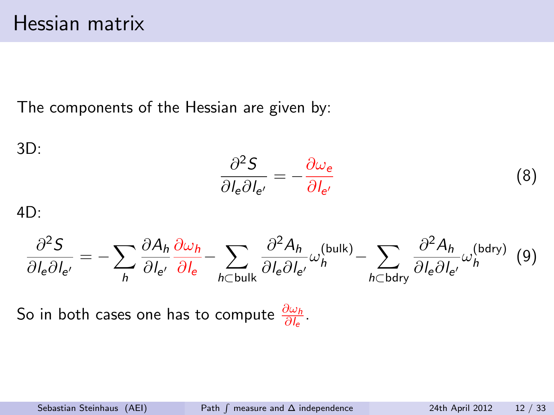The components of the Hessian are given by:

3D:  
\n
$$
\frac{\partial^2 S}{\partial l_e \partial l_{e'}} = -\frac{\partial \omega_e}{\partial l_{e'}}
$$
\n(8)  
\n4D:  
\n
$$
\frac{\partial^2 S}{\partial l_e \partial l_{e'}} = -\sum_h \frac{\partial A_h}{\partial l_{e'}} \frac{\partial \omega_h}{\partial l_e} - \sum_{h \subset \text{bulk}} \frac{\partial^2 A_h}{\partial l_e \partial l_{e'}} \omega_h^{(\text{bulk})} - \sum_{h \subset \text{bdry}} \frac{\partial^2 A_h}{\partial l_e \partial l_{e'}} \omega_h^{(\text{bdry})} (9)
$$

So in both cases one has to compute  $\frac{\partial \omega_h}{\partial l_e}$ .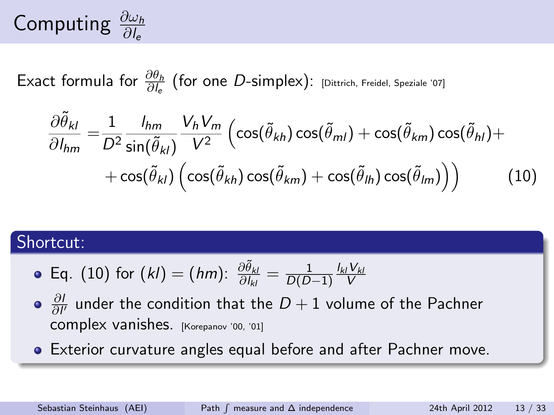# Computing  $\frac{\partial \omega_h}{\partial l_e}$

Exact formula for  $\frac{\partial \theta_h}{\partial l_e}$  (for one D-simplex): [Dittrich, Freidel, Speziale '07]

<span id="page-12-0"></span>
$$
\frac{\partial \tilde{\theta}_{kl}}{\partial l_{hm}} = \frac{1}{D^2} \frac{l_{hm}}{\sin(\tilde{\theta}_{kl})} \frac{V_h V_m}{V^2} \left( \cos(\tilde{\theta}_{kh}) \cos(\tilde{\theta}_{ml}) + \cos(\tilde{\theta}_{km}) \cos(\tilde{\theta}_{hl}) + \\ + \cos(\tilde{\theta}_{kl}) \left( \cos(\tilde{\theta}_{kh}) \cos(\tilde{\theta}_{km}) + \cos(\tilde{\theta}_{lh}) \cos(\tilde{\theta}_{lm}) \right) \right)
$$
(10)

#### Shortcut:

**Eq.** (10) for 
$$
(kl) = (hm)
$$
:  $\frac{\partial \tilde{\theta}_{kl}}{\partial l_{kl}} = \frac{1}{D(D-1)} \frac{l_{kl} V_{kl}}{V}$ 

- ∂l  $\frac{\partial l}{\partial l'}$  under the condition that the  $D+1$  volume of the Pachner complex vanishes. [Korepanov '00, '01]
- Exterior curvature angles equal before and after Pachner move.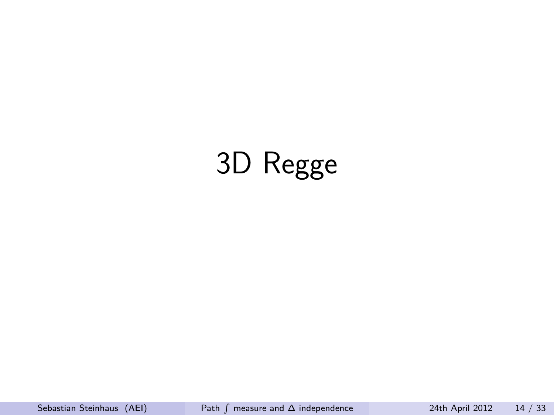# <span id="page-13-0"></span>3D Regge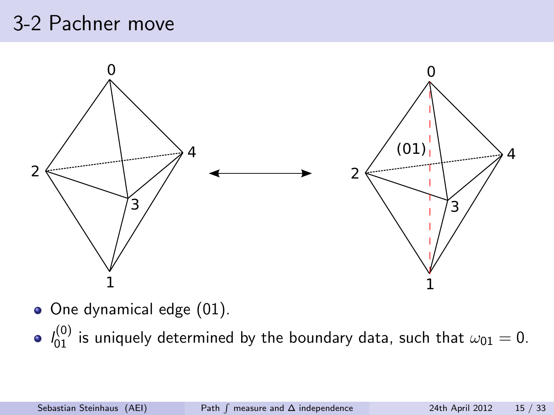# 3-2 Pachner move



- One dynamical edge (01).
- <span id="page-14-0"></span> $\mathit{l}_{01}^{(0)}$  is uniquely determined by the boundary data, such that  $\omega_{01}=0.$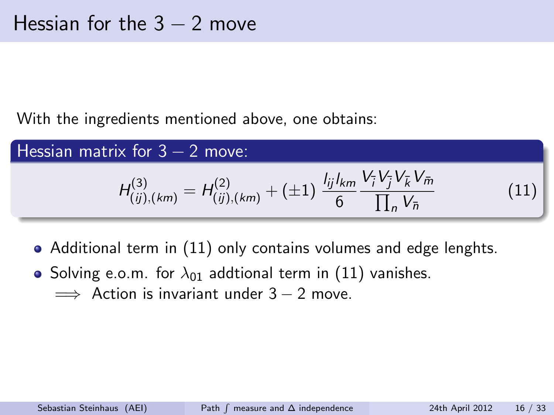With the ingredients mentioned above, one obtains:

Hessian matrix for 3 – 2 move:  
\n
$$
H_{(ij),(km)}^{(3)} = H_{(ij),(km)}^{(2)} + (\pm 1) \frac{I_{ij}I_{km}}{6} \frac{V_{\bar{i}}V_{\bar{j}}V_{\bar{k}}V_{\bar{m}}}{\prod_{n}V_{\bar{n}}}
$$
\n(11)

- <span id="page-15-0"></span>• Additional term in [\(11\)](#page-15-0) only contains volumes and edge lenghts.
- Solving e.o.m. for  $\lambda_{01}$  addtional term in [\(11\)](#page-15-0) vanishes.  $\implies$  Action is invariant under  $3 - 2$  move.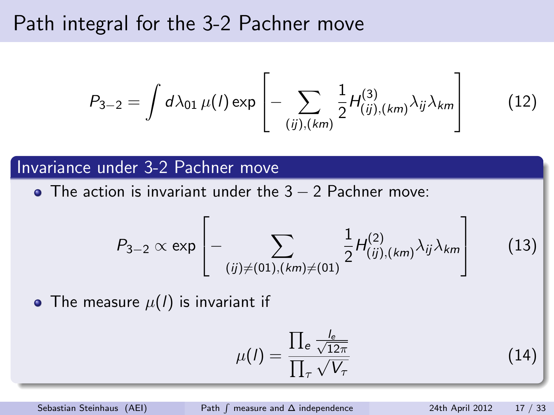## Path integral for the 3-2 Pachner move

$$
P_{3-2} = \int d\lambda_{01} \,\mu(I) \exp\left[-\sum_{(ij),(km)} \frac{1}{2} H_{(ij),(km)}^{(3)} \lambda_{ij} \lambda_{km}\right] \tag{12}
$$

#### Invariance under 3-2 Pachner move

 $\bullet$  The action is invariant under the  $3 - 2$  Pachner move:

$$
P_{3-2} \propto \exp \left[ - \sum_{(ij) \neq (01), (km) \neq (01)} \frac{1}{2} H_{(ij),(km)}^{(2)} \lambda_{ij} \lambda_{km} \right]
$$
(13)

• The measure  $\mu(I)$  is invariant if

$$
\mu(I) = \frac{\prod_{e} \frac{I_e}{\sqrt{12\pi}}}{\prod_{\tau} \sqrt{V_{\tau}}}
$$
\n(14)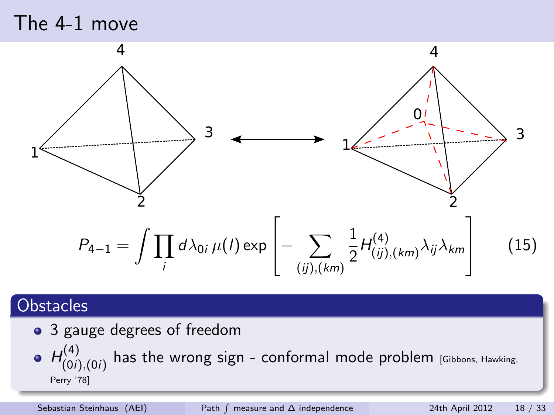# The 4-1 move



#### **Obstacles**

• 3 gauge degrees of freedom

<span id="page-17-0"></span> $H_{(0)}^{(4)}$  $\binom{1(4)}{(0i),(0i)}$  has the wrong sign - conformal mode problem [Gibbons, Hawking, Perry '78]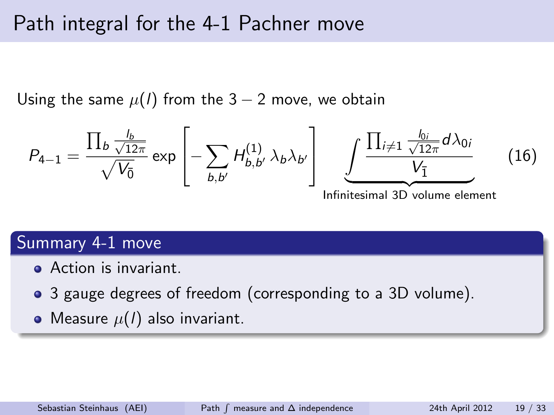## Path integral for the 4-1 Pachner move

Using the same  $\mu(I)$  from the 3 – 2 move, we obtain

$$
P_{4-1} = \frac{\prod_b \frac{l_b}{\sqrt{12\pi}}}{\sqrt{V_0}} \exp\left[-\sum_{b,b'} H_{b,b'}^{(1)} \lambda_b \lambda_{b'}\right] \underbrace{\int \frac{\prod_{i\neq 1} \frac{l_{0i}}{\sqrt{12\pi}} d\lambda_{0i}}{V_{\bar{1}}}}_{\text{Infinitesimal 3D volume element}} \tag{16}
$$

#### Summary 4-1 move

- Action is invariant.
- 3 gauge degrees of freedom (corresponding to a 3D volume).
- Measure  $\mu(I)$  also invariant.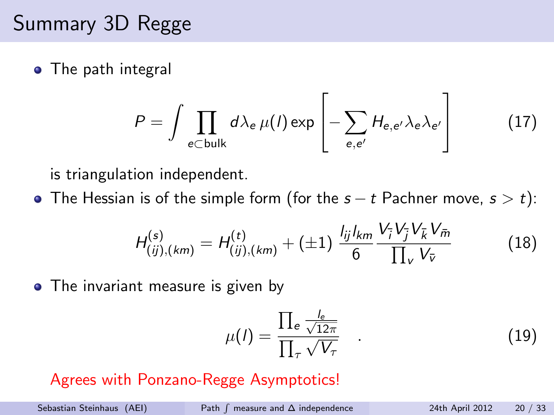# Summary 3D Regge

• The path integral

$$
P = \int \prod_{e \subset \text{bulk}} d\lambda_e \,\mu(I) \exp\left[-\sum_{e,e'} H_{e,e'} \lambda_e \lambda_{e'}\right] \tag{17}
$$

is triangulation independent.

• The Hessian is of the simple form (for the  $s - t$  Pachner move,  $s > t$ ):

$$
H_{(ij),(km)}^{(s)} = H_{(ij),(km)}^{(t)} + (\pm 1) \frac{I_{ij}I_{km}}{6} \frac{V_{\bar{i}}V_{\bar{j}}V_{\bar{k}}V_{\bar{m}}}{\prod_{v}V_{\bar{v}}}
$$
(18)

• The invariant measure is given by

$$
\mu(I) = \frac{\prod_{e} \frac{I_e}{\sqrt{12\pi}}}{\prod_{\tau} \sqrt{V_{\tau}}} \tag{19}
$$

Agrees with Ponzano-Regge Asymptotics!

Sebastian Steinhaus (AEI)

Path  $\int$  measure and  $\Delta$  independence 24th April 2012 20 / 33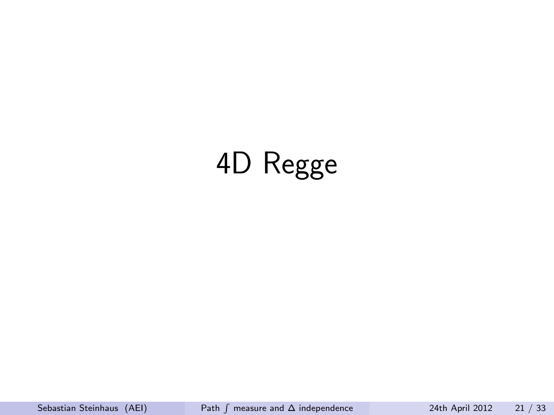# <span id="page-20-0"></span>4D Regge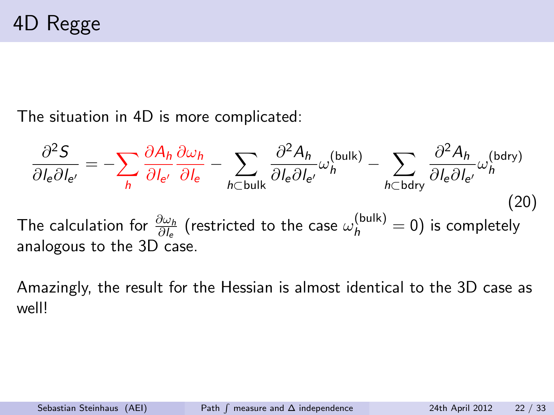The situation in 4D is more complicated:

$$
\frac{\partial^2 S}{\partial l_e \partial l_{e'}} = -\sum_h \frac{\partial A_h}{\partial l_{e'}} \frac{\partial \omega_h}{\partial l_e} - \sum_{h \subset \text{bulk}} \frac{\partial^2 A_h}{\partial l_e \partial l_{e'}} \omega_h^{(\text{bulk})} - \sum_{h \subset \text{bdry}} \frac{\partial^2 A_h}{\partial l_e \partial l_{e'}} \omega_h^{(\text{bdry})}
$$
(20)  
The calculation for  $\frac{\partial \omega_h}{\partial l_e}$  (restricted to the case  $\omega_h^{(\text{bulk})} = 0$ ) is completely analogous to the 3D case.

Amazingly, the result for the Hessian is almost identical to the 3D case as well!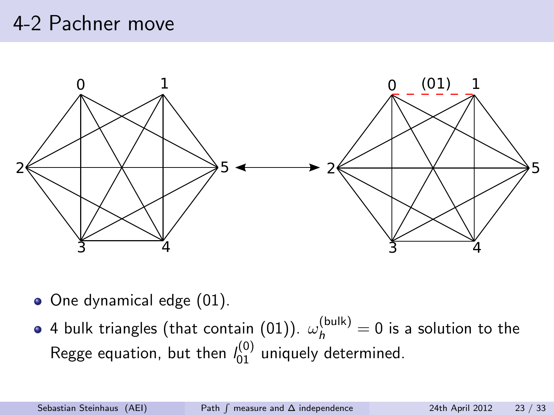# 4-2 Pachner move



- One dynamical edge (01).
- 4 bulk triangles (that contain (01)).  $\omega_h^{(\text{bulk})}=0$  is a solution to the Regge equation, but then  $\mathit{l}_{01}^{(0)}$  uniquely determined.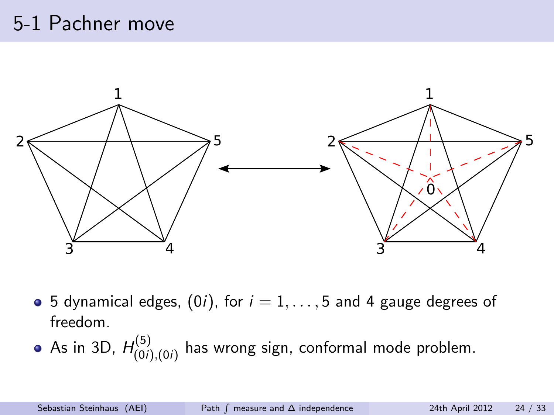# 5-1 Pachner move



• 5 dynamical edges,  $(0i)$ , for  $i = 1, \ldots, 5$  and 4 gauge degrees of freedom.

As in 3D,  $H_{(0)}^{(5)}$  $\binom{(3)}{(0i),(0i)}$  has wrong sign, conformal mode problem.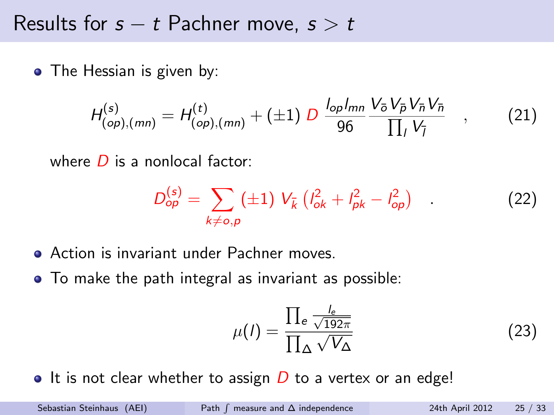### Results for  $s - t$  Pachner move,  $s > t$

• The Hessian is given by:

$$
H_{(op),(mn)}^{(s)} = H_{(op),(mn)}^{(t)} + (\pm 1) D \frac{l_{op} I_{mn}}{96} \frac{V_{\bar{o}} V_{\bar{p}} V_{\bar{n}} V_{\bar{n}}}{\prod_{I} V_{\bar{I}}}
$$
 (21)

where  $D$  is a nonlocal factor:

$$
D_{op}^{(s)} = \sum_{k \neq o,p} (\pm 1) V_{\bar{k}} \left( l_{ok}^2 + l_{pk}^2 - l_{op}^2 \right) \quad . \tag{22}
$$

- Action is invariant under Pachner moves.
- To make the path integral as invariant as possible:

$$
\mu(I) = \frac{\prod_{e} \frac{l_e}{\sqrt{192\pi}}}{\prod_{\Delta} \sqrt{V_{\Delta}}} \tag{23}
$$

 $\bullet$  It is not clear whether to assign D to a vertex or an edge!

Sebastian Steinhaus (AEI)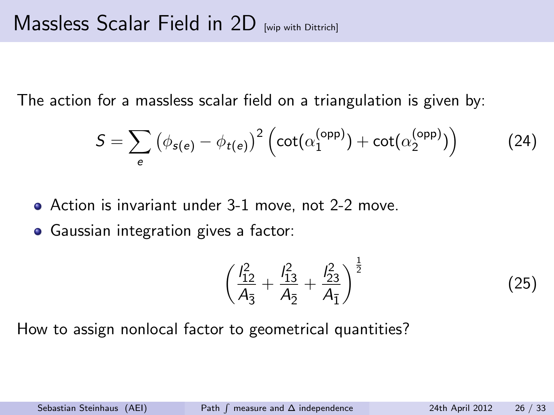The action for a massless scalar field on a triangulation is given by:

$$
S = \sum_{e} \left( \phi_{s(e)} - \phi_{t(e)} \right)^2 \left( \cot(\alpha_1^{(\text{opp})}) + \cot(\alpha_2^{(\text{opp})}) \right) \tag{24}
$$

- Action is invariant under 3-1 move, not 2-2 move.
- Gaussian integration gives a factor:

$$
\left(\frac{l_{12}^2}{A_3} + \frac{l_{13}^2}{A_2} + \frac{l_{23}^2}{A_1}\right)^{\frac{1}{2}}
$$
 (25)

How to assign nonlocal factor to geometrical quantities?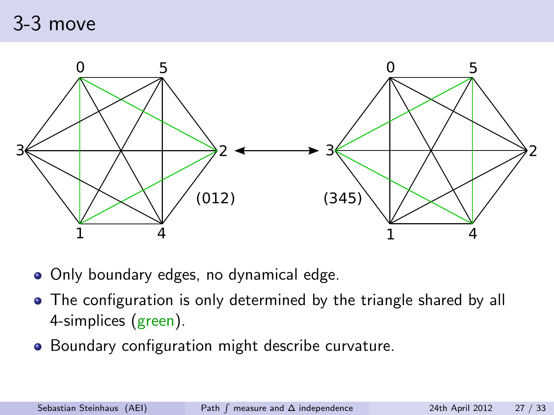# 3-3 move



- Only boundary edges, no dynamical edge.
- The configuration is only determined by the triangle shared by all 4-simplices (green).
- <span id="page-26-0"></span>• Boundary configuration might describe curvature.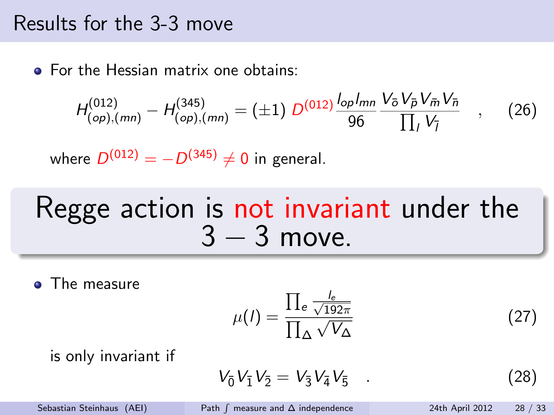## Results for the 3-3 move

**• For the Hessian matrix one obtains:** 

$$
H_{(op),(mn)}^{(012)} - H_{(op),(mn)}^{(345)} = (\pm 1) D^{(012)} \frac{l_{op} I_{mn}}{96} \frac{V_{\bar{o}} V_{\bar{p}} V_{\bar{m}} V_{\bar{n}}}{\prod_{I} V_{\bar{I}}} , \qquad (26)
$$

where  $D^{(012)}=-D^{(345)}\neq 0$  in general.

# Regge action is not invariant under the  $3 - 3$  move.

**•** The measure

$$
\mu(I) = \frac{\prod_{e} \frac{l_e}{\sqrt{192\pi}}}{\prod_{\Delta} \sqrt{V_{\Delta}}} \tag{27}
$$

is only invariant if

$$
V_{\bar{0}}V_{\bar{1}}V_{\bar{2}}=V_{\bar{3}}V_{\bar{4}}V_{\bar{5}}\quad .\tag{28}
$$

Sebastian Steinhaus (AEI)

Path  $\int$  measure and  $\Delta$  independence 24th April 2012 28 / 33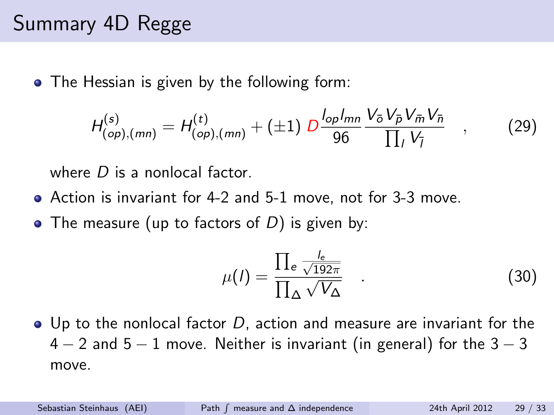# Summary 4D Regge

• The Hessian is given by the following form:

$$
H_{(op),(mn)}^{(s)} = H_{(op),(mn)}^{(t)} + (\pm 1) D \frac{I_{op} I_{mn}}{96} \frac{V_{\bar{o}} V_{\bar{p}} V_{\bar{m}} V_{\bar{n}}}{\prod_{I} V_{\bar{I}}} , \qquad (29)
$$

where  $D$  is a nonlocal factor.

- Action is invariant for 4-2 and 5-1 move, not for 3-3 move.
- $\bullet$  The measure (up to factors of D) is given by:

$$
\mu(I) = \frac{\prod_{e} \frac{I_e}{\sqrt{192\pi}}}{\prod_{\Delta} \sqrt{V_{\Delta}}} \quad . \tag{30}
$$

 $\bullet$  Up to the nonlocal factor D, action and measure are invariant for the  $4 - 2$  and  $5 - 1$  move. Neither is invariant (in general) for the  $3 - 3$ move.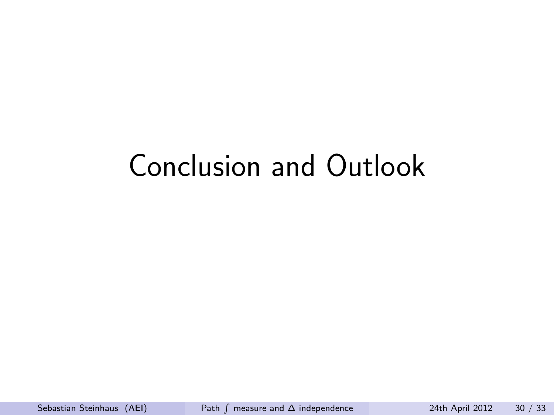# <span id="page-29-0"></span>Conclusion and Outlook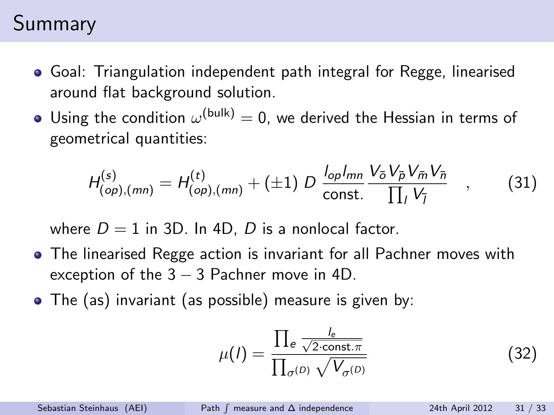# Summary

- Goal: Triangulation independent path integral for Regge, linearised around flat background solution.
- Using the condition  $\omega^{\text{(bulk)}}=0$ , we derived the Hessian in terms of geometrical quantities:

$$
H_{(op),(mn)}^{(s)} = H_{(op),(mn)}^{(t)} + (\pm 1) D \frac{l_{op} I_{mn}}{\text{const.}} \frac{V_{\bar{o}} V_{\bar{p}} V_{\bar{m}} V_{\bar{n}}}{\prod_{l} V_{\bar{l}}} \quad , \tag{31}
$$

where  $D = 1$  in 3D. In 4D, D is a nonlocal factor.

- The linearised Regge action is invariant for all Pachner moves with exception of the  $3 - 3$  Pachner move in 4D.
- The (as) invariant (as possible) measure is given by:

$$
\mu(I) = \frac{\prod_{e} \frac{I_e}{\sqrt{2 \cdot \text{const.}\pi}}}{\prod_{\sigma^{(D)}} \sqrt{V_{\sigma^{(D)}}}}
$$
(32)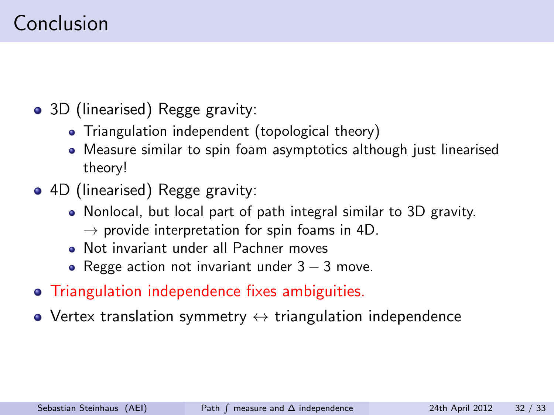# Conclusion

- 3D (linearised) Regge gravity:
	- Triangulation independent (topological theory)
	- Measure similar to spin foam asymptotics although just linearised theory!
- 4D (linearised) Regge gravity:
	- Nonlocal, but local part of path integral similar to 3D gravity.  $\rightarrow$  provide interpretation for spin foams in 4D.
	- Not invariant under all Pachner moves
	- Regge action not invariant under  $3 3$  move.
- **•** Triangulation independence fixes ambiguities.
- Vertex translation symmetry  $\leftrightarrow$  triangulation independence